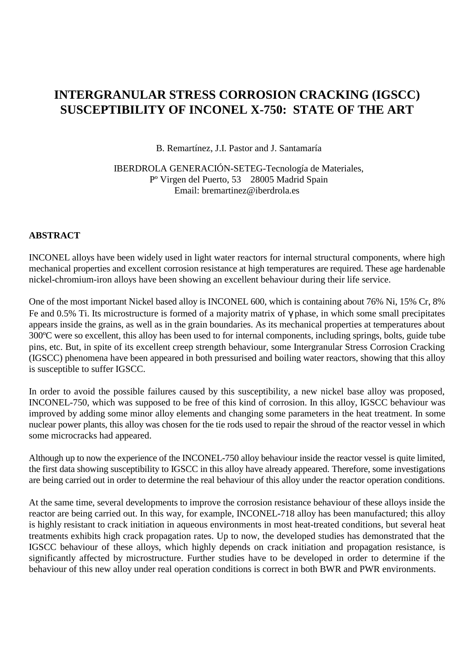# **INTERGRANULAR STRESS CORROSION CRACKING (IGSCC) SUSCEPTIBILITY OF INCONEL X-750: STATE OF THE ART**

B. Remartínez, J.I. Pastor and J. Santamaría

IBERDROLA GENERACIÓN-SETEG-Tecnología de Materiales, Pº Virgen del Puerto, 53 28005 Madrid Spain Email: bremartinez@iberdrola.es

#### **ABSTRACT**

INCONEL alloys have been widely used in light water reactors for internal structural components, where high mechanical properties and excellent corrosion resistance at high temperatures are required. These age hardenable nickel-chromium-iron alloys have been showing an excellent behaviour during their life service.

One of the most important Nickel based alloy is INCONEL 600, which is containing about 76% Ni, 15% Cr, 8% Fe and 0.5% Ti. Its microstructure is formed of a majority matrix of γ phase, in which some small precipitates appears inside the grains, as well as in the grain boundaries. As its mechanical properties at temperatures about 300ºC were so excellent, this alloy has been used to for internal components, including springs, bolts, guide tube pins, etc. But, in spite of its excellent creep strength behaviour, some Intergranular Stress Corrosion Cracking (IGSCC) phenomena have been appeared in both pressurised and boiling water reactors, showing that this alloy is susceptible to suffer IGSCC.

In order to avoid the possible failures caused by this susceptibility, a new nickel base alloy was proposed, INCONEL-750, which was supposed to be free of this kind of corrosion. In this alloy, IGSCC behaviour was improved by adding some minor alloy elements and changing some parameters in the heat treatment. In some nuclear power plants, this alloy was chosen for the tie rods used to repair the shroud of the reactor vessel in which some microcracks had appeared.

Although up to now the experience of the INCONEL-750 alloy behaviour inside the reactor vessel is quite limited, the first data showing susceptibility to IGSCC in this alloy have already appeared. Therefore, some investigations are being carried out in order to determine the real behaviour of this alloy under the reactor operation conditions.

At the same time, several developments to improve the corrosion resistance behaviour of these alloys inside the reactor are being carried out. In this way, for example, INCONEL-718 alloy has been manufactured; this alloy is highly resistant to crack initiation in aqueous environments in most heat-treated conditions, but several heat treatments exhibits high crack propagation rates. Up to now, the developed studies has demonstrated that the IGSCC behaviour of these alloys, which highly depends on crack initiation and propagation resistance, is significantly affected by microstructure. Further studies have to be developed in order to determine if the behaviour of this new alloy under real operation conditions is correct in both BWR and PWR environments.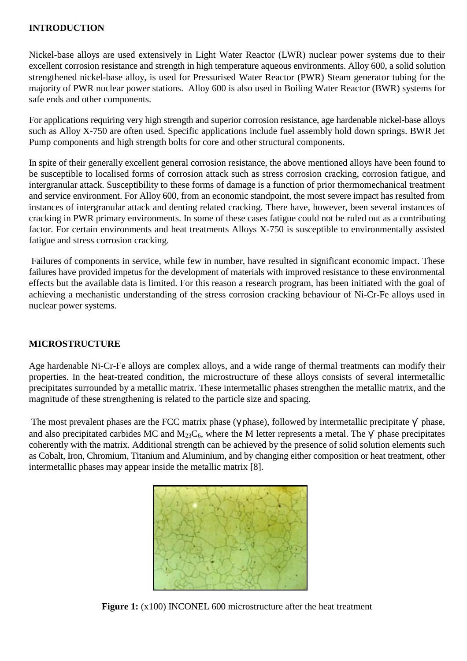#### **INTRODUCTION**

Nickel-base alloys are used extensively in Light Water Reactor (LWR) nuclear power systems due to their excellent corrosion resistance and strength in high temperature aqueous environments. Alloy 600, a solid solution strengthened nickel-base alloy, is used for Pressurised Water Reactor (PWR) Steam generator tubing for the majority of PWR nuclear power stations. Alloy 600 is also used in Boiling Water Reactor (BWR) systems for safe ends and other components.

For applications requiring very high strength and superior corrosion resistance, age hardenable nickel-base alloys such as Alloy X-750 are often used. Specific applications include fuel assembly hold down springs. BWR Jet Pump components and high strength bolts for core and other structural components.

In spite of their generally excellent general corrosion resistance, the above mentioned alloys have been found to be susceptible to localised forms of corrosion attack such as stress corrosion cracking, corrosion fatigue, and intergranular attack. Susceptibility to these forms of damage is a function of prior thermomechanical treatment and service environment. For Alloy 600, from an economic standpoint, the most severe impact has resulted from instances of intergranular attack and denting related cracking. There have, however, been several instances of cracking in PWR primary environments. In some of these cases fatigue could not be ruled out as a contributing factor. For certain environments and heat treatments Alloys X-750 is susceptible to environmentally assisted fatigue and stress corrosion cracking.

 Failures of components in service, while few in number, have resulted in significant economic impact. These failures have provided impetus for the development of materials with improved resistance to these environmental effects but the available data is limited. For this reason a research program, has been initiated with the goal of achieving a mechanistic understanding of the stress corrosion cracking behaviour of Ni-Cr-Fe alloys used in nuclear power systems.

#### **MICROSTRUCTURE**

Age hardenable Ni-Cr-Fe alloys are complex alloys, and a wide range of thermal treatments can modify their properties. In the heat-treated condition, the microstructure of these alloys consists of several intermetallic precipitates surrounded by a metallic matrix. These intermetallic phases strengthen the metallic matrix, and the magnitude of these strengthening is related to the particle size and spacing.

The most prevalent phases are the FCC matrix phase ( $\gamma$  phase), followed by intermetallic precipitate  $\gamma'$  phase, and also precipitated carbides MC and M<sub>23</sub>C<sub>6</sub>, where the M letter represents a metal. The  $\gamma'$  phase precipitates coherently with the matrix. Additional strength can be achieved by the presence of solid solution elements such as Cobalt, Iron, Chromium, Titanium and Aluminium, and by changing either composition or heat treatment, other intermetallic phases may appear inside the metallic matrix [8].



**Figure 1:** (x100) INCONEL 600 microstructure after the heat treatment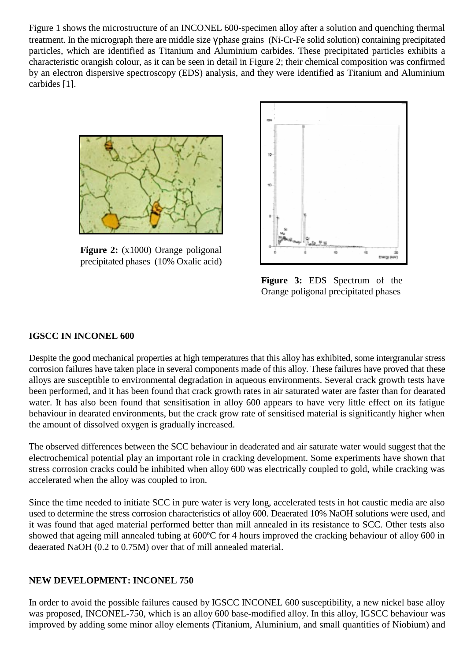Figure 1 shows the microstructure of an INCONEL 600-specimen alloy after a solution and quenching thermal treatment. In the micrograph there are middle size γ phase grains (Ni-Cr-Fe solid solution) containing precipitated particles, which are identified as Titanium and Aluminium carbides. These precipitated particles exhibits a characteristic orangish colour, as it can be seen in detail in Figure 2; their chemical composition was confirmed by an electron dispersive spectroscopy (EDS) analysis, and they were identified as Titanium and Aluminium carbides [1].



**Figure 2:** (x1000) Orange poligonal precipitated phases (10% Oxalic acid)



**Figure 3:** EDS Spectrum of the Orange poligonal precipitated phases

#### **IGSCC IN INCONEL 600**

Despite the good mechanical properties at high temperatures that this alloy has exhibited, some intergranular stress corrosion failures have taken place in several components made of this alloy. These failures have proved that these alloys are susceptible to environmental degradation in aqueous environments. Several crack growth tests have been performed, and it has been found that crack growth rates in air saturated water are faster than for dearated water. It has also been found that sensitisation in alloy 600 appears to have very little effect on its fatigue behaviour in dearated environments, but the crack grow rate of sensitised material is significantly higher when the amount of dissolved oxygen is gradually increased.

The observed differences between the SCC behaviour in deaderated and air saturate water would suggest that the electrochemical potential play an important role in cracking development. Some experiments have shown that stress corrosion cracks could be inhibited when alloy 600 was electrically coupled to gold, while cracking was accelerated when the alloy was coupled to iron.

Since the time needed to initiate SCC in pure water is very long, accelerated tests in hot caustic media are also used to determine the stress corrosion characteristics of alloy 600. Deaerated 10% NaOH solutions were used, and it was found that aged material performed better than mill annealed in its resistance to SCC. Other tests also showed that ageing mill annealed tubing at 600ºC for 4 hours improved the cracking behaviour of alloy 600 in deaerated NaOH (0.2 to 0.75M) over that of mill annealed material.

#### **NEW DEVELOPMENT: INCONEL 750**

In order to avoid the possible failures caused by IGSCC INCONEL 600 susceptibility, a new nickel base alloy was proposed, INCONEL-750, which is an alloy 600 base-modified alloy. In this alloy, IGSCC behaviour was improved by adding some minor alloy elements (Titanium, Aluminium, and small quantities of Niobium) and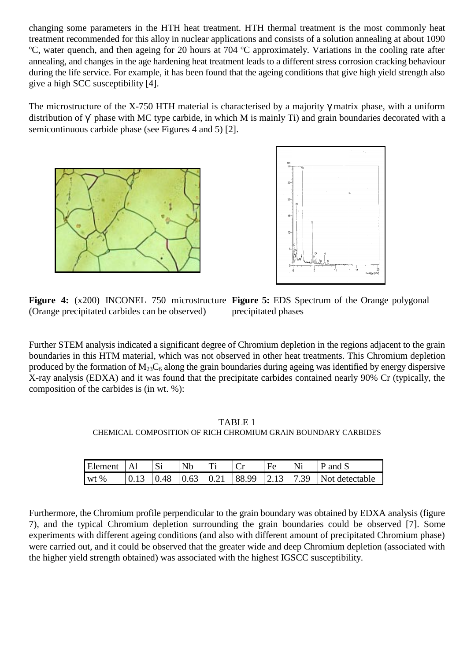changing some parameters in the HTH heat treatment. HTH thermal treatment is the most commonly heat treatment recommended for this alloy in nuclear applications and consists of a solution annealing at about 1090 ºC, water quench, and then ageing for 20 hours at 704 ºC approximately. Variations in the cooling rate after annealing, and changes in the age hardening heat treatment leads to a different stress corrosion cracking behaviour during the life service. For example, it has been found that the ageing conditions that give high yield strength also give a high SCC susceptibility [4].

The microstructure of the X-750 HTH material is characterised by a majority  $\gamma$  matrix phase, with a uniform distribution of γ´ phase with MC type carbide, in which M is mainly Ti) and grain boundaries decorated with a semicontinuous carbide phase (see Figures 4 and 5) [2].





**Figure 4:** (x200) INCONEL 750 microstructure **Figure 5:** EDS Spectrum of the Orange polygonal (Orange precipitated carbides can be observed) precipitated phases

Further STEM analysis indicated a significant degree of Chromium depletion in the regions adjacent to the grain boundaries in this HTM material, which was not observed in other heat treatments. This Chromium depletion produced by the formation of  $M_{23}C_6$  along the grain boundaries during ageing was identified by energy dispersive X-ray analysis (EDXA) and it was found that the precipitate carbides contained nearly 90% Cr (typically, the composition of the carbides is (in wt. %):

TABLE 1 CHEMICAL COMPOSITION OF RICH CHROMIUM GRAIN BOUNDARY CARBIDES

| <b>Element</b> | $\vert$ A1 | <b>Si</b> | $\mathsf{N}b$ | Ti | Fe | Ni | $\vert$ P and S                                                                                      |
|----------------|------------|-----------|---------------|----|----|----|------------------------------------------------------------------------------------------------------|
| wt $%$         |            |           |               |    |    |    | $\vert 0.13 \vert 0.48 \vert 0.63 \vert 0.21 \vert 88.99 \vert 2.13 \vert 7.39 \vert$ Not detectable |

Furthermore, the Chromium profile perpendicular to the grain boundary was obtained by EDXA analysis (figure 7), and the typical Chromium depletion surrounding the grain boundaries could be observed [7]. Some experiments with different ageing conditions (and also with different amount of precipitated Chromium phase) were carried out, and it could be observed that the greater wide and deep Chromium depletion (associated with the higher yield strength obtained) was associated with the highest IGSCC susceptibility.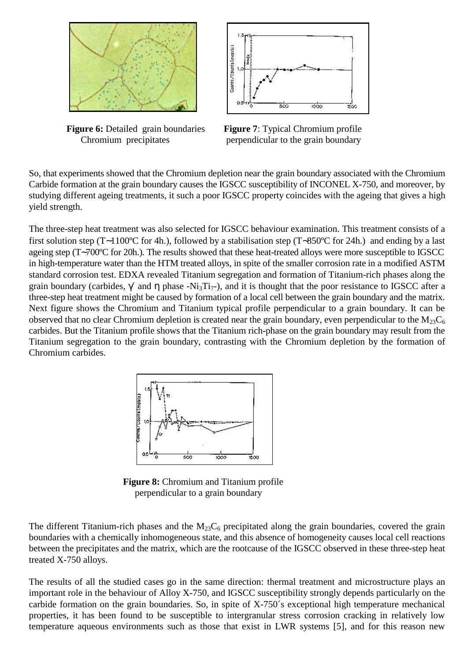

**Figure 6:** Detailed grain boundaries **Figure 7**: Typical Chromium profile



Chromium precipitates perpendicular to the grain boundary

So, that experiments showed that the Chromium depletion near the grain boundary associated with the Chromium Carbide formation at the grain boundary causes the IGSCC susceptibility of INCONEL X-750, and moreover, by studying different ageing treatments, it such a poor IGSCC property coincides with the ageing that gives a high yield strength.

The three-step heat treatment was also selected for IGSCC behaviour examination. This treatment consists of a first solution step (T∼1100ºC for 4h.), followed by a stabilisation step (T∼850ºC for 24h.) and ending by a last ageing step (T∼700ºC for 20h.). The results showed that these heat-treated alloys were more susceptible to IGSCC in high-temperature water than the HTM treated alloys, in spite of the smaller corrosion rate in a modified ASTM standard corrosion test. EDXA revealed Titanium segregation and formation of Titanium-rich phases along the grain boundary (carbides,  $\gamma'$  and  $\eta$  phase -Ni<sub>3</sub>Ti<sub>7</sub>-), and it is thought that the poor resistance to IGSCC after a three-step heat treatment might be caused by formation of a local cell between the grain boundary and the matrix. Next figure shows the Chromium and Titanium typical profile perpendicular to a grain boundary. It can be observed that no clear Chromium depletion is created near the grain boundary, even perpendicular to the  $M_{23}C_6$ carbides. But the Titanium profile shows that the Titanium rich-phase on the grain boundary may result from the Titanium segregation to the grain boundary, contrasting with the Chromium depletion by the formation of Chromium carbides.



 **Figure 8:** Chromium and Titanium profile perpendicular to a grain boundary

The different Titanium-rich phases and the  $M_{23}C_6$  precipitated along the grain boundaries, covered the grain boundaries with a chemically inhomogeneous state, and this absence of homogeneity causes local cell reactions between the precipitates and the matrix, which are the rootcause of the IGSCC observed in these three-step heat treated X-750 alloys.

The results of all the studied cases go in the same direction: thermal treatment and microstructure plays an important role in the behaviour of Alloy X-750, and IGSCC susceptibility strongly depends particularly on the carbide formation on the grain boundaries. So, in spite of X-750´s exceptional high temperature mechanical properties, it has been found to be susceptible to intergranular stress corrosion cracking in relatively low temperature aqueous environments such as those that exist in LWR systems [5], and for this reason new